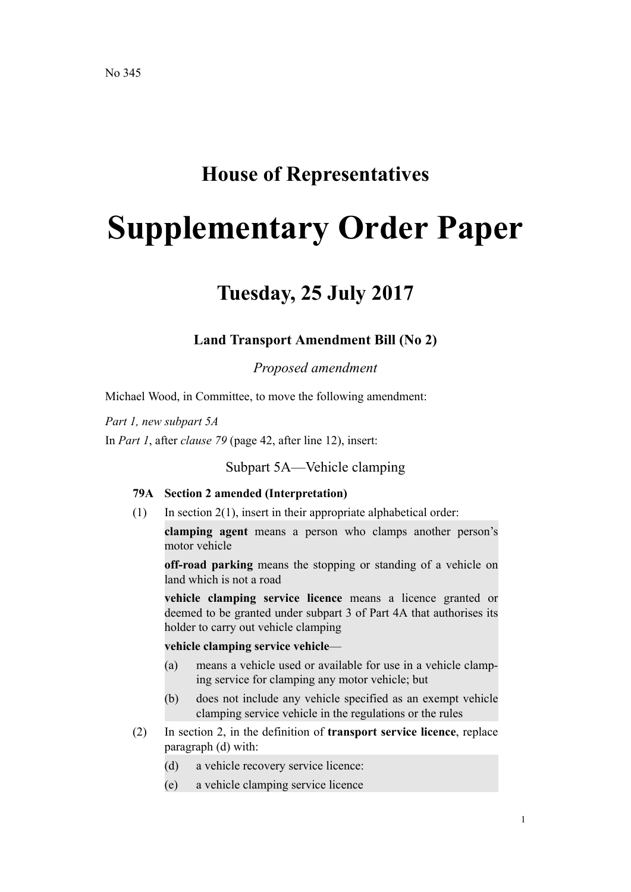## **House of Representatives**

# **Supplementary Order Paper**

# **Tuesday, 25 July 2017**

## **Land Transport Amendment Bill (No 2)**

*Proposed amendment*

Michael Wood, in Committee, to move the following amendment:

*Part 1, new subpart 5A*

In *Part 1*, after *clause 79* (page 42, after line 12), insert:

Subpart 5A—Vehicle clamping

#### **79A Section 2 amended (Interpretation)**

 $(1)$  In section  $2(1)$ , insert in their appropriate alphabetical order:

**clamping agent** means a person who clamps another person's motor vehicle

**off-road parking** means the stopping or standing of a vehicle on land which is not a road

**vehicle clamping service licence** means a licence granted or deemed to be granted under subpart 3 of Part 4A that authorises its holder to carry out vehicle clamping

#### **vehicle clamping service vehicle**—

- (a) means a vehicle used or available for use in a vehicle clamping service for clamping any motor vehicle; but
- (b) does not include any vehicle specified as an exempt vehicle clamping service vehicle in the regulations or the rules
- (2) In section 2, in the definition of **transport service licence**, replace paragraph (d) with:
	- (d) a vehicle recovery service licence:
	- (e) a vehicle clamping service licence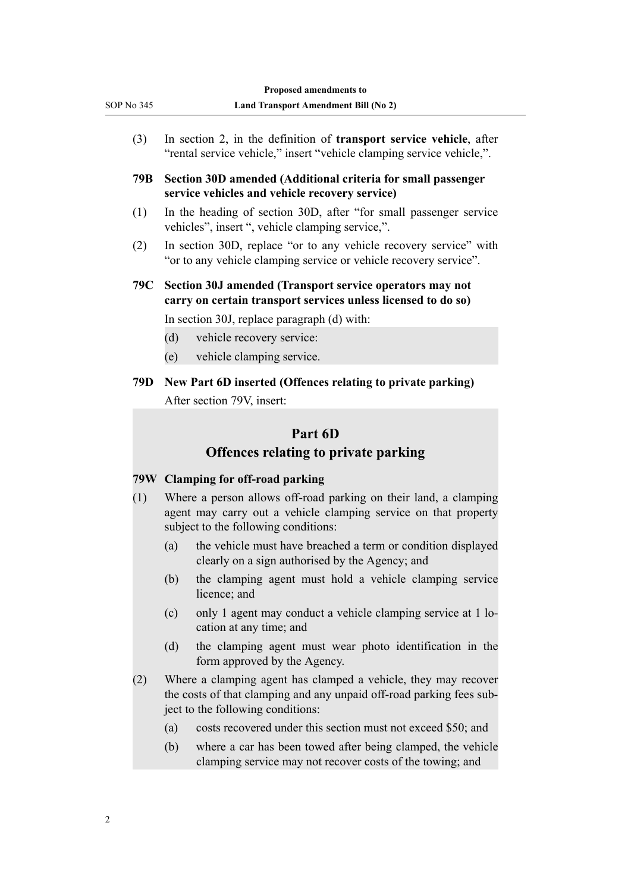|     |                                                                                                                                        | In section 2, in the definition of transport service vehicle, after<br>"rental service vehicle," insert "vehicle clamping service vehicle,".                                                                                                                                                                                                              |  |
|-----|----------------------------------------------------------------------------------------------------------------------------------------|-----------------------------------------------------------------------------------------------------------------------------------------------------------------------------------------------------------------------------------------------------------------------------------------------------------------------------------------------------------|--|
| 79B | Section 30D amended (Additional criteria for small passenger<br>service vehicles and vehicle recovery service)                         |                                                                                                                                                                                                                                                                                                                                                           |  |
| (1) |                                                                                                                                        | In the heading of section 30D, after "for small passenger service<br>vehicles", insert ", vehicle clamping service,".                                                                                                                                                                                                                                     |  |
| (2) | In section 30D, replace "or to any vehicle recovery service" with<br>"or to any vehicle clamping service or vehicle recovery service". |                                                                                                                                                                                                                                                                                                                                                           |  |
| 79C | Section 30J amended (Transport service operators may not<br>carry on certain transport services unless licensed to do so)              |                                                                                                                                                                                                                                                                                                                                                           |  |
|     |                                                                                                                                        | In section 30J, replace paragraph (d) with:                                                                                                                                                                                                                                                                                                               |  |
|     | (d)                                                                                                                                    | vehicle recovery service:                                                                                                                                                                                                                                                                                                                                 |  |
|     | (e)                                                                                                                                    | vehicle clamping service.                                                                                                                                                                                                                                                                                                                                 |  |
| 79D |                                                                                                                                        | New Part 6D inserted (Offences relating to private parking)<br>After section 79V, insert:                                                                                                                                                                                                                                                                 |  |
|     |                                                                                                                                        |                                                                                                                                                                                                                                                                                                                                                           |  |
|     |                                                                                                                                        | Part 6D                                                                                                                                                                                                                                                                                                                                                   |  |
|     |                                                                                                                                        | <b>Offences relating to private parking</b>                                                                                                                                                                                                                                                                                                               |  |
|     |                                                                                                                                        | 79W Clamping for off-road parking                                                                                                                                                                                                                                                                                                                         |  |
|     |                                                                                                                                        |                                                                                                                                                                                                                                                                                                                                                           |  |
|     |                                                                                                                                        | subject to the following conditions:                                                                                                                                                                                                                                                                                                                      |  |
|     | (a)                                                                                                                                    | clearly on a sign authorised by the Agency; and                                                                                                                                                                                                                                                                                                           |  |
|     | (b)                                                                                                                                    | licence; and                                                                                                                                                                                                                                                                                                                                              |  |
|     | (c)                                                                                                                                    | Where a person allows off-road parking on their land, a clamping<br>agent may carry out a vehicle clamping service on that property<br>the vehicle must have breached a term or condition displayed<br>the clamping agent must hold a vehicle clamping service<br>only 1 agent may conduct a vehicle clamping service at 1 lo-<br>cation at any time; and |  |
| (1) | (d)                                                                                                                                    | form approved by the Agency.                                                                                                                                                                                                                                                                                                                              |  |
|     |                                                                                                                                        | ject to the following conditions:                                                                                                                                                                                                                                                                                                                         |  |
| (2) | (a)                                                                                                                                    | the clamping agent must wear photo identification in the<br>Where a clamping agent has clamped a vehicle, they may recover<br>the costs of that clamping and any unpaid off-road parking fees sub-<br>costs recovered under this section must not exceed \$50; and                                                                                        |  |